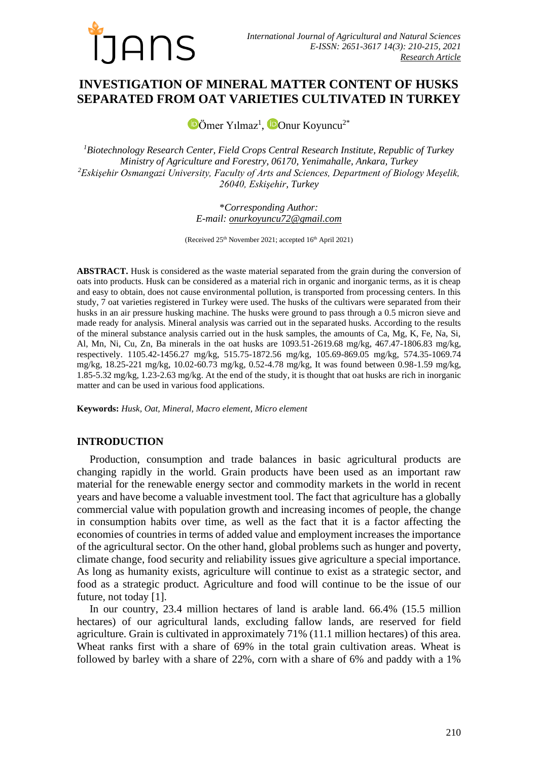

# **INVESTIGATION OF MINERAL MATTER CONTENT OF HUSKS SEPARATED FROM OAT VARIETIES CULTIVATED IN TURKEY**

[Ö](https://orcid.org/0000-0003-0365-4838)mer Yılmaz<sup>1</sup>,  $\bullet$ [O](https://orcid.org/0000-0002-0364-6638)nur Koyuncu<sup>2\*</sup>

*<sup>1</sup>Biotechnology Research Center, Field Crops Central Research Institute, Republic of Turkey Ministry of Agriculture and Forestry, 06170, Yenimahalle, Ankara, Turkey <sup>2</sup>Eskişehir Osmangazi University, Faculty of Arts and Sciences, Department of Biology Meşelik, 26040, Eskişehir, Turkey*

> \**Corresponding Author: E-mail: [onurkoyuncu72@gmail.com](mailto:onurkoyuncu72@gmail.com)*

(Received 25<sup>th</sup> November 2021; accepted 16<sup>th</sup> April 2021)

**ABSTRACT.** Husk is considered as the waste material separated from the grain during the conversion of oats into products. Husk can be considered as a material rich in organic and inorganic terms, as it is cheap and easy to obtain, does not cause environmental pollution, is transported from processing centers. In this study, 7 oat varieties registered in Turkey were used. The husks of the cultivars were separated from their husks in an air pressure husking machine. The husks were ground to pass through a 0.5 micron sieve and made ready for analysis. Mineral analysis was carried out in the separated husks. According to the results of the mineral substance analysis carried out in the husk samples, the amounts of Ca, Mg, K, Fe, Na, Si, Al, Mn, Ni, Cu, Zn, Ba minerals in the oat husks are 1093.51-2619.68 mg/kg, 467.47-1806.83 mg/kg, respectively. 1105.42-1456.27 mg/kg, 515.75-1872.56 mg/kg, 105.69-869.05 mg/kg, 574.35-1069.74 mg/kg, 18.25-221 mg/kg, 10.02-60.73 mg/kg, 0.52-4.78 mg/kg, It was found between 0.98-1.59 mg/kg, 1.85-5.32 mg/kg, 1.23-2.63 mg/kg. At the end of the study, it is thought that oat husks are rich in inorganic matter and can be used in various food applications.

**Keywords:** *Husk, Oat, Mineral, Macro element, Micro element*

### **INTRODUCTION**

Production, consumption and trade balances in basic agricultural products are changing rapidly in the world. Grain products have been used as an important raw material for the renewable energy sector and commodity markets in the world in recent years and have become a valuable investment tool. The fact that agriculture has a globally commercial value with population growth and increasing incomes of people, the change in consumption habits over time, as well as the fact that it is a factor affecting the economies of countries in terms of added value and employment increases the importance of the agricultural sector. On the other hand, global problems such as hunger and poverty, climate change, food security and reliability issues give agriculture a special importance. As long as humanity exists, agriculture will continue to exist as a strategic sector, and food as a strategic product. Agriculture and food will continue to be the issue of our future, not today [1].

In our country, 23.4 million hectares of land is arable land. 66.4% (15.5 million hectares) of our agricultural lands, excluding fallow lands, are reserved for field agriculture. Grain is cultivated in approximately 71% (11.1 million hectares) of this area. Wheat ranks first with a share of 69% in the total grain cultivation areas. Wheat is followed by barley with a share of 22%, corn with a share of 6% and paddy with a 1%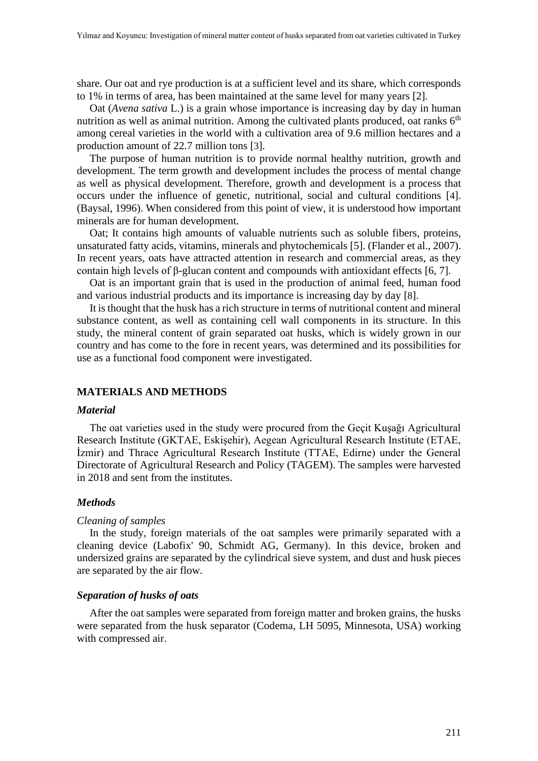share. Our oat and rye production is at a sufficient level and its share, which corresponds to 1% in terms of area, has been maintained at the same level for many years [2].

Oat (*Avena sativa* L.) is a grain whose importance is increasing day by day in human nutrition as well as animal nutrition. Among the cultivated plants produced, oat ranks  $6<sup>th</sup>$ among cereal varieties in the world with a cultivation area of 9.6 million hectares and a production amount of 22.7 million tons [3].

The purpose of human nutrition is to provide normal healthy nutrition, growth and development. The term growth and development includes the process of mental change as well as physical development. Therefore, growth and development is a process that occurs under the influence of genetic, nutritional, social and cultural conditions [4]. (Baysal, 1996). When considered from this point of view, it is understood how important minerals are for human development.

Oat; It contains high amounts of valuable nutrients such as soluble fibers, proteins, unsaturated fatty acids, vitamins, minerals and phytochemicals [5]. (Flander et al., 2007). In recent years, oats have attracted attention in research and commercial areas, as they contain high levels of β-glucan content and compounds with antioxidant effects [6, 7].

Oat is an important grain that is used in the production of animal feed, human food and various industrial products and its importance is increasing day by day [8].

It is thought that the husk has a rich structure in terms of nutritional content and mineral substance content, as well as containing cell wall components in its structure. In this study, the mineral content of grain separated oat husks, which is widely grown in our country and has come to the fore in recent years, was determined and its possibilities for use as a functional food component were investigated.

## **MATERIALS AND METHODS**

### *Material*

The oat varieties used in the study were procured from the Geçit Kuşağı Agricultural Research Institute (GKTAE, Eskişehir), Aegean Agricultural Research Institute (ETAE, İzmir) and Thrace Agricultural Research Institute (TTAE, Edirne) under the General Directorate of Agricultural Research and Policy (TAGEM). The samples were harvested in 2018 and sent from the institutes.

### *Methods*

#### *Cleaning of samples*

In the study, foreign materials of the oat samples were primarily separated with a cleaning device (Labofix' 90, Schmidt AG, Germany). In this device, broken and undersized grains are separated by the cylindrical sieve system, and dust and husk pieces are separated by the air flow.

### *Separation of husks of oats*

After the oat samples were separated from foreign matter and broken grains, the husks were separated from the husk separator (Codema, LH 5095, Minnesota, USA) working with compressed air.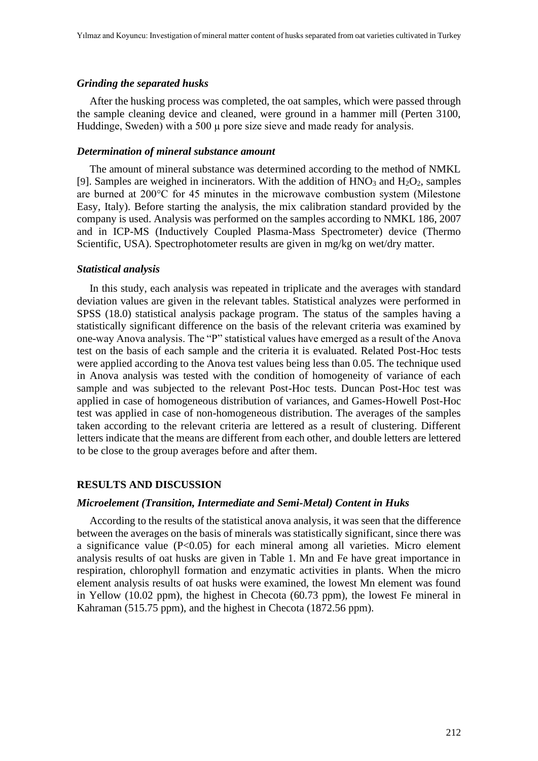### *Grinding the separated husks*

After the husking process was completed, the oat samples, which were passed through the sample cleaning device and cleaned, were ground in a hammer mill (Perten 3100, Huddinge, Sweden) with a 500  $\mu$  pore size sieve and made ready for analysis.

### *Determination of mineral substance amount*

The amount of mineral substance was determined according to the method of NMKL [9]. Samples are weighed in incinerators. With the addition of  $HNO<sub>3</sub>$  and  $H<sub>2</sub>O<sub>2</sub>$ , samples are burned at 200°C for 45 minutes in the microwave combustion system (Milestone Easy, Italy). Before starting the analysis, the mix calibration standard provided by the company is used. Analysis was performed on the samples according to NMKL 186, 2007 and in ICP-MS (Inductively Coupled Plasma-Mass Spectrometer) device (Thermo Scientific, USA). Spectrophotometer results are given in mg/kg on wet/dry matter.

#### *Statistical analysis*

In this study, each analysis was repeated in triplicate and the averages with standard deviation values are given in the relevant tables. Statistical analyzes were performed in SPSS (18.0) statistical analysis package program. The status of the samples having a statistically significant difference on the basis of the relevant criteria was examined by one-way Anova analysis. The "P" statistical values have emerged as a result of the Anova test on the basis of each sample and the criteria it is evaluated. Related Post-Hoc tests were applied according to the Anova test values being less than 0.05. The technique used in Anova analysis was tested with the condition of homogeneity of variance of each sample and was subjected to the relevant Post-Hoc tests. Duncan Post-Hoc test was applied in case of homogeneous distribution of variances, and Games-Howell Post-Hoc test was applied in case of non-homogeneous distribution. The averages of the samples taken according to the relevant criteria are lettered as a result of clustering. Different letters indicate that the means are different from each other, and double letters are lettered to be close to the group averages before and after them.

### **RESULTS AND DISCUSSION**

### *Microelement (Transition, Intermediate and Semi-Metal) Content in Huks*

According to the results of the statistical anova analysis, it was seen that the difference between the averages on the basis of minerals was statistically significant, since there was a significance value (P<0.05) for each mineral among all varieties. Micro element analysis results of oat husks are given in Table 1. Mn and Fe have great importance in respiration, chlorophyll formation and enzymatic activities in plants. When the micro element analysis results of oat husks were examined, the lowest Mn element was found in Yellow (10.02 ppm), the highest in Checota (60.73 ppm), the lowest Fe mineral in Kahraman (515.75 ppm), and the highest in Checota (1872.56 ppm).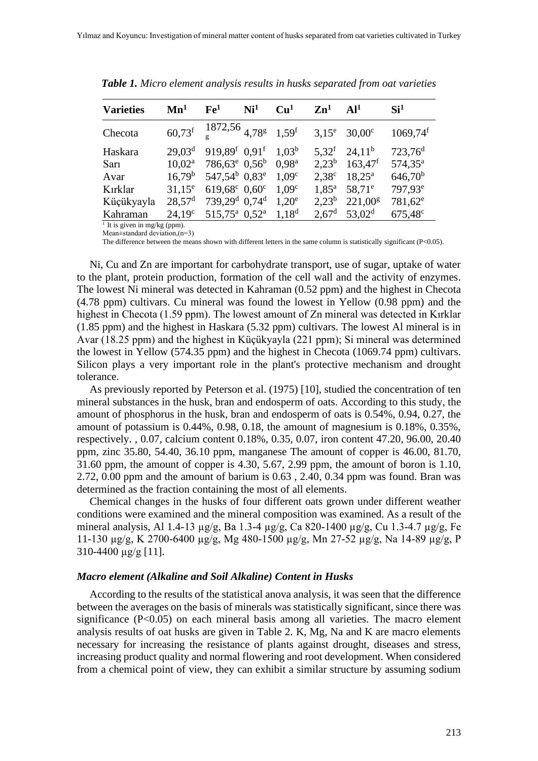| <b>Varieties</b> | $\mathbf{Mn}^1$    | Fe <sup>1</sup>                                       | Ni <sup>1</sup> | Cu <sup>1</sup>   | $\mathbf{Zn}^1$   | Al <sup>1</sup>    | Si <sup>1</sup>        |
|------------------|--------------------|-------------------------------------------------------|-----------------|-------------------|-------------------|--------------------|------------------------|
| Checota          | $60,73^f$          | $\frac{1872,56}{9}$ $\frac{1}{4,78}$ $\frac{1}{1,59}$ |                 |                   | $3,15^e$          | $30,00$ c          | $1069,74$ <sup>f</sup> |
| Haskara          | 29.03 <sup>d</sup> | 919,89 <sup>f</sup> 0.91 <sup>f</sup>                 |                 | 1.03 <sup>b</sup> | $5.32^{f}$        | $24.11^b$          | $723,76^d$             |
| Sar <sub>1</sub> | $10.02^a$          | $786,63^e$ 0,56 <sup>b</sup>                          |                 | 0.98 <sup>a</sup> | $2.23^{b}$        | $163,47^f$         | $574,35^{\rm a}$       |
| Avar             | $16,79^b$          | $547,54^b$ 0,83 <sup>e</sup>                          |                 | 1.09 <sup>c</sup> | $2,38^\circ$      | $18,25^{\rm a}$    | $646,70^b$             |
| Kırklar          | $31.15^e$          | 619,68 $\text{c}$ 0,60 $\text{c}$                     |                 | 1.09 <sup>c</sup> | $1,85^{\rm a}$    | 58,71 <sup>e</sup> | 797,93 <sup>e</sup>    |
| Küçükyayla       | $28,57^{\rm d}$    | $739,29^d$ 0,74 <sup>d</sup>                          |                 | $1,20^e$          | $2,23^b$          | $221,00^{\rm g}$   | 781,62 <sup>e</sup>    |
| Kahraman         | 24.19 <sup>c</sup> | 515,75 <sup>a</sup> 0,52 <sup>a</sup>                 |                 | 1,18 <sup>d</sup> | 2.67 <sup>d</sup> | 53.02 <sup>d</sup> | 675,48 <sup>c</sup>    |

*Table 1. Micro element analysis results in husks separated from oat varieties*

 $<sup>1</sup>$  It is given in mg/kg (ppm).</sup> Mean±standard deviation,(n=3)

The difference between the means shown with different letters in the same column is statistically significant (P<0.05).

Ni, Cu and Zn are important for carbohydrate transport, use of sugar, uptake of water to the plant, protein production, formation of the cell wall and the activity of enzymes. The lowest Ni mineral was detected in Kahraman (0.52 ppm) and the highest in Checota (4.78 ppm) cultivars. Cu mineral was found the lowest in Yellow (0.98 ppm) and the highest in Checota (1.59 ppm). The lowest amount of Zn mineral was detected in Kırklar (1.85 ppm) and the highest in Haskara (5.32 ppm) cultivars. The lowest Al mineral is in Avar (18.25 ppm) and the highest in Küçükyayla (221 ppm); Si mineral was determined the lowest in Yellow (574.35 ppm) and the highest in Checota (1069.74 ppm) cultivars. Silicon plays a very important role in the plant's protective mechanism and drought tolerance.

As previously reported by Peterson et al. (1975) [10], studied the concentration of ten mineral substances in the husk, bran and endosperm of oats. According to this study, the amount of phosphorus in the husk, bran and endosperm of oats is 0.54%, 0.94, 0.27, the amount of potassium is 0.44%, 0.98, 0.18, the amount of magnesium is 0.18%, 0.35%, respectively. , 0.07, calcium content 0.18%, 0.35, 0.07, iron content 47.20, 96.00, 20.40 ppm, zinc 35.80, 54.40, 36.10 ppm, manganese The amount of copper is 46.00, 81.70, 31.60 ppm, the amount of copper is 4.30, 5.67, 2.99 ppm, the amount of boron is 1.10, 2.72, 0.00 ppm and the amount of barium is 0.63 , 2.40, 0.34 ppm was found. Bran was determined as the fraction containing the most of all elements.

Chemical changes in the husks of four different oats grown under different weather conditions were examined and the mineral composition was examined. As a result of the mineral analysis, Al 1.4-13 µg/g, Ba 1.3-4 µg/g, Ca 820-1400 µg/g, Cu 1.3-4.7 µg/g, Fe 11-130 µg/g, K 2700-6400 µg/g, Mg 480-1500 µg/g, Mn 27-52 µg/g, Na 14-89 µg/g, P 310-4400 µg/g [11].

#### *Macro element (Alkaline and Soil Alkaline) Content in Husks*

According to the results of the statistical anova analysis, it was seen that the difference between the averages on the basis of minerals was statistically significant, since there was significance (P<0.05) on each mineral basis among all varieties. The macro element analysis results of oat husks are given in Table 2. K, Mg, Na and K are macro elements necessary for increasing the resistance of plants against drought, diseases and stress, increasing product quality and normal flowering and root development. When considered from a chemical point of view, they can exhibit a similar structure by assuming sodium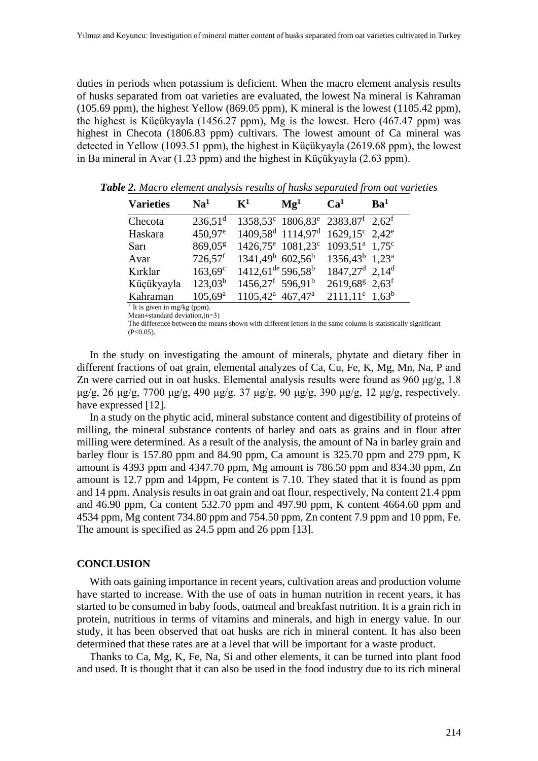duties in periods when potassium is deficient. When the macro element analysis results of husks separated from oat varieties are evaluated, the lowest Na mineral is Kahraman (105.69 ppm), the highest Yellow (869.05 ppm), K mineral is the lowest (1105.42 ppm), the highest is Küçükyayla (1456.27 ppm), Mg is the lowest. Hero (467.47 ppm) was highest in Checota (1806.83 ppm) cultivars. The lowest amount of Ca mineral was detected in Yellow (1093.51 ppm), the highest in Küçükyayla (2619.68 ppm), the lowest in Ba mineral in Avar (1.23 ppm) and the highest in Küçükyayla (2.63 ppm).

| <b>Varieties</b> | $\mathbf{N}\mathbf{a}^1$ | ${\bf K}^1$                                 | $\mathbf{Mg}^1$                                                         | Ca <sup>1</sup>                        | Ba <sup>1</sup> |
|------------------|--------------------------|---------------------------------------------|-------------------------------------------------------------------------|----------------------------------------|-----------------|
| Checota          | $236,51$ <sup>d</sup>    |                                             | $1358,53^c$ $1806,83^e$ $2383,87^f$ $2,62^f$                            |                                        |                 |
| Haskara          | 450,97 <sup>e</sup>      |                                             | $1409,58^d$ 1114,97 <sup>d</sup> 1629,15 <sup>c</sup> 2,42 <sup>e</sup> |                                        |                 |
| Sarı             | 869,05 <sup>g</sup>      |                                             | $1426.75^{\circ}$ 1081,23°                                              | $1093.51^{\text{a}}$ 1,75 <sup>c</sup> |                 |
| Avar             | $726,57$ <sup>f</sup>    | $1341,49^b$ 602,56 <sup>b</sup>             |                                                                         | $1356.43^b$ 1.23 <sup>a</sup>          |                 |
| Kırklar          | $163,69^c$               | $1412{,}61^{\text{de}} 596{,}58^{\text{b}}$ |                                                                         | $1847,27^d$ 2.14 <sup>d</sup>          |                 |
| Küçükyayla       | $123,03^{b}$             | $1456,27^f$ 596,91 <sup>b</sup>             |                                                                         | $2619,68^g$ 2,63 <sup>f</sup>          |                 |
| Kahraman         | $105,69^{\rm a}$         | 1105,42 <sup>a</sup> 467,47 <sup>a</sup>    |                                                                         | $2111,11^e$ 1,63 <sup>b</sup>          |                 |

*Table 2. Macro element analysis results of husks separated from oat varieties*

 $<sup>1</sup>$  It is given in mg/kg (ppm).</sup> Mean $+$ standard deviation (n=3)

The difference between the means shown with different letters in the same column is statistically significant  $(P<0.05)$ .

In the study on investigating the amount of minerals, phytate and dietary fiber in different fractions of oat grain, elemental analyzes of Ca, Cu, Fe, K, Mg, Mn, Na, P and Zn were carried out in oat husks. Elemental analysis results were found as 960 μg/g, 1.8 μg/g, 26 μg/g, 7700 μg/g, 490 μg/g, 37 μg/g, 90 μg/g, 390 μg/g, 12 μg/g, respectively. have expressed [12].

In a study on the phytic acid, mineral substance content and digestibility of proteins of milling, the mineral substance contents of barley and oats as grains and in flour after milling were determined. As a result of the analysis, the amount of Na in barley grain and barley flour is 157.80 ppm and 84.90 ppm, Ca amount is 325.70 ppm and 279 ppm, K amount is 4393 ppm and 4347.70 ppm, Mg amount is 786.50 ppm and 834.30 ppm, Zn amount is 12.7 ppm and 14ppm, Fe content is 7.10. They stated that it is found as ppm and 14 ppm. Analysis results in oat grain and oat flour, respectively, Na content 21.4 ppm and 46.90 ppm, Ca content 532.70 ppm and 497.90 ppm, K content 4664.60 ppm and 4534 ppm, Mg content 734.80 ppm and 754.50 ppm, Zn content 7.9 ppm and 10 ppm, Fe. The amount is specified as 24.5 ppm and 26 ppm [13].

### **CONCLUSION**

With oats gaining importance in recent years, cultivation areas and production volume have started to increase. With the use of oats in human nutrition in recent years, it has started to be consumed in baby foods, oatmeal and breakfast nutrition. It is a grain rich in protein, nutritious in terms of vitamins and minerals, and high in energy value. In our study, it has been observed that oat husks are rich in mineral content. It has also been determined that these rates are at a level that will be important for a waste product.

Thanks to Ca, Mg, K, Fe, Na, Si and other elements, it can be turned into plant food and used. It is thought that it can also be used in the food industry due to its rich mineral